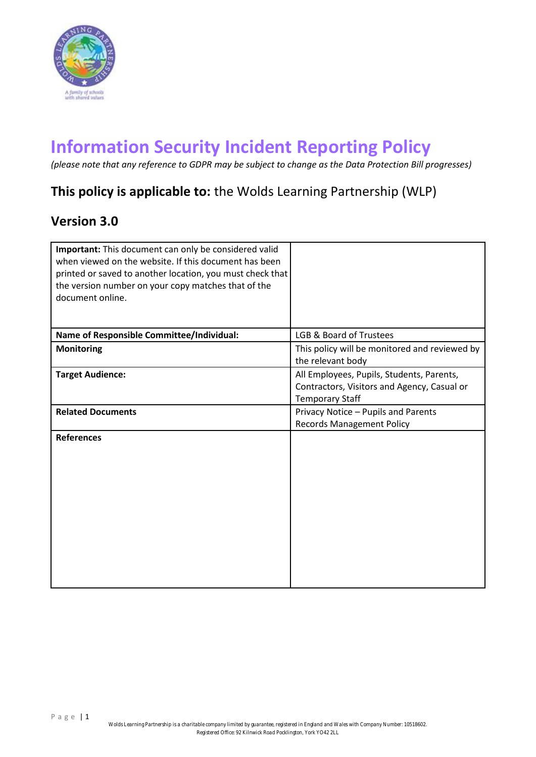

# **Information Security Incident Reporting Policy**

*(please note that any reference to GDPR may be subject to change as the Data Protection Bill progresses)*

# **This policy is applicable to:** the Wolds Learning Partnership (WLP)

# **Version 3.0**

| Important: This document can only be considered valid<br>when viewed on the website. If this document has been<br>printed or saved to another location, you must check that<br>the version number on your copy matches that of the<br>document online. |                                                                                                                    |
|--------------------------------------------------------------------------------------------------------------------------------------------------------------------------------------------------------------------------------------------------------|--------------------------------------------------------------------------------------------------------------------|
| Name of Responsible Committee/Individual:                                                                                                                                                                                                              | <b>LGB &amp; Board of Trustees</b>                                                                                 |
| <b>Monitoring</b>                                                                                                                                                                                                                                      | This policy will be monitored and reviewed by<br>the relevant body                                                 |
| <b>Target Audience:</b>                                                                                                                                                                                                                                | All Employees, Pupils, Students, Parents,<br>Contractors, Visitors and Agency, Casual or<br><b>Temporary Staff</b> |
| <b>Related Documents</b>                                                                                                                                                                                                                               | Privacy Notice - Pupils and Parents<br><b>Records Management Policy</b>                                            |
| <b>References</b>                                                                                                                                                                                                                                      |                                                                                                                    |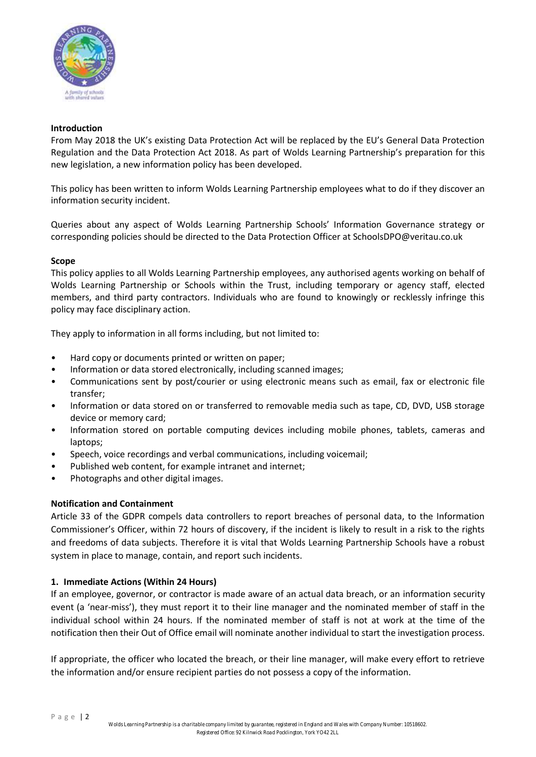

#### **Introduction**

From May 2018 the UK's existing Data Protection Act will be replaced by the EU's General Data Protection Regulation and the Data Protection Act 2018. As part of Wolds Learning Partnership's preparation for this new legislation, a new information policy has been developed.

This policy has been written to inform Wolds Learning Partnership employees what to do if they discover an information security incident.

Queries about any aspect of Wolds Learning Partnership Schools' Information Governance strategy or corresponding policies should be directed to the Data Protection Officer at SchoolsDPO@veritau.co.uk

#### **Scope**

This policy applies to all Wolds Learning Partnership employees, any authorised agents working on behalf of Wolds Learning Partnership or Schools within the Trust, including temporary or agency staff, elected members, and third party contractors. Individuals who are found to knowingly or recklessly infringe this policy may face disciplinary action.

They apply to information in all forms including, but not limited to:

- Hard copy or documents printed or written on paper;
- Information or data stored electronically, including scanned images;
- Communications sent by post/courier or using electronic means such as email, fax or electronic file transfer;
- Information or data stored on or transferred to removable media such as tape, CD, DVD, USB storage device or memory card;
- Information stored on portable computing devices including mobile phones, tablets, cameras and laptops;
- Speech, voice recordings and verbal communications, including voicemail;
- Published web content, for example intranet and internet;
- Photographs and other digital images.

#### **Notification and Containment**

Article 33 of the GDPR compels data controllers to report breaches of personal data, to the Information Commissioner's Officer, within 72 hours of discovery, if the incident is likely to result in a risk to the rights and freedoms of data subjects. Therefore it is vital that Wolds Learning Partnership Schools have a robust system in place to manage, contain, and report such incidents.

#### **1. Immediate Actions (Within 24 Hours)**

If an employee, governor, or contractor is made aware of an actual data breach, or an information security event (a 'near-miss'), they must report it to their line manager and the nominated member of staff in the individual school within 24 hours. If the nominated member of staff is not at work at the time of the notification then their Out of Office email will nominate another individual to start the investigation process.

If appropriate, the officer who located the breach, or their line manager, will make every effort to retrieve the information and/or ensure recipient parties do not possess a copy of the information.

P a g e | 2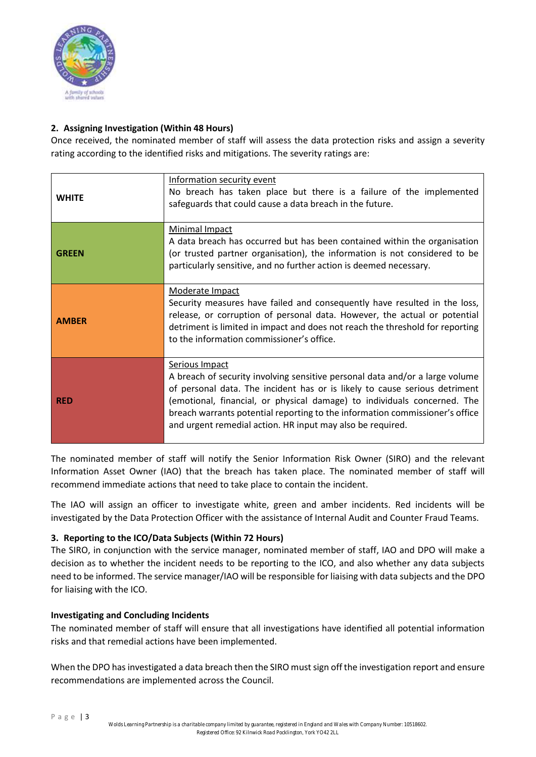

## **2. Assigning Investigation (Within 48 Hours)**

Once received, the nominated member of staff will assess the data protection risks and assign a severity rating according to the identified risks and mitigations. The severity ratings are:

| <b>WHITE</b> | Information security event<br>No breach has taken place but there is a failure of the implemented<br>safeguards that could cause a data breach in the future.                                                                                                                                                                                                                                          |
|--------------|--------------------------------------------------------------------------------------------------------------------------------------------------------------------------------------------------------------------------------------------------------------------------------------------------------------------------------------------------------------------------------------------------------|
| <b>GREEN</b> | Minimal Impact<br>A data breach has occurred but has been contained within the organisation<br>(or trusted partner organisation), the information is not considered to be<br>particularly sensitive, and no further action is deemed necessary.                                                                                                                                                        |
| <b>AMBER</b> | Moderate Impact<br>Security measures have failed and consequently have resulted in the loss,<br>release, or corruption of personal data. However, the actual or potential<br>detriment is limited in impact and does not reach the threshold for reporting<br>to the information commissioner's office.                                                                                                |
| <b>RED</b>   | Serious Impact<br>A breach of security involving sensitive personal data and/or a large volume<br>of personal data. The incident has or is likely to cause serious detriment<br>(emotional, financial, or physical damage) to individuals concerned. The<br>breach warrants potential reporting to the information commissioner's office<br>and urgent remedial action. HR input may also be required. |

The nominated member of staff will notify the Senior Information Risk Owner (SIRO) and the relevant Information Asset Owner (IAO) that the breach has taken place. The nominated member of staff will recommend immediate actions that need to take place to contain the incident.

The IAO will assign an officer to investigate white, green and amber incidents. Red incidents will be investigated by the Data Protection Officer with the assistance of Internal Audit and Counter Fraud Teams.

### **3. Reporting to the ICO/Data Subjects (Within 72 Hours)**

The SIRO, in conjunction with the service manager, nominated member of staff, IAO and DPO will make a decision as to whether the incident needs to be reporting to the ICO, and also whether any data subjects need to be informed. The service manager/IAO will be responsible for liaising with data subjects and the DPO for liaising with the ICO.

### **Investigating and Concluding Incidents**

The nominated member of staff will ensure that all investigations have identified all potential information risks and that remedial actions have been implemented.

When the DPO has investigated a data breach then the SIRO must sign off the investigation report and ensure recommendations are implemented across the Council.

Page | 3